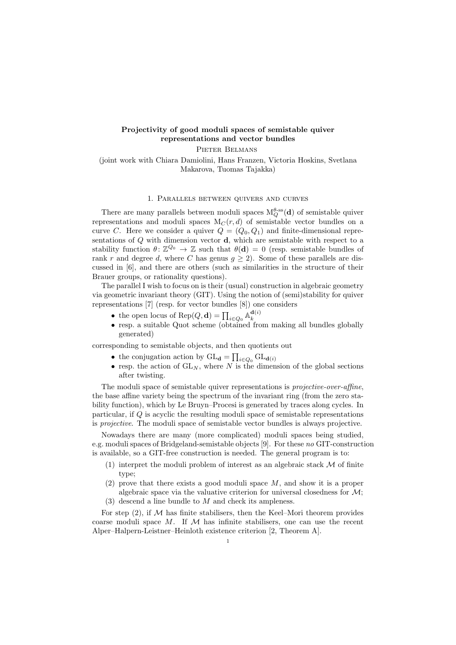## Projectivity of good moduli spaces of semistable quiver representations and vector bundles

PIETER BELMANS

(joint work with Chiara Damiolini, Hans Franzen, Victoria Hoskins, Svetlana Makarova, Tuomas Tajakka)

## 1. Parallels between quivers and curves

There are many parallels between moduli spaces  $M_Q^{\theta\text{-ss}}(\mathbf{d})$  of semistable quiver representations and moduli spaces  $M_C(r, d)$  of semistable vector bundles on a curve C. Here we consider a quiver  $Q = (Q_0, Q_1)$  and finite-dimensional representations of  $Q$  with dimension vector  $\mathbf d$ , which are semistable with respect to a stability function  $\theta: \mathbb{Z}^{\mathcal{Q}_0} \to \mathbb{Z}$  such that  $\theta(\mathbf{d}) = 0$  (resp. semistable bundles of rank r and degree d, where C has genus  $q \ge 2$ ). Some of these parallels are discussed in [6], and there are others (such as similarities in the structure of their Brauer groups, or rationality questions).

The parallel I wish to focus on is their (usual) construction in algebraic geometry via geometric invariant theory (GIT). Using the notion of (semi)stability for quiver representations [7] (resp. for vector bundles [8]) one considers

- the open locus of  $\operatorname{Rep}(Q, \mathbf{d}) = \prod_{i \in Q_0} \mathbb{A}_k^{\mathbf{d}(i)}$ k
- resp. a suitable Quot scheme (obtained from making all bundles globally generated)

corresponding to semistable objects, and then quotients out

- the conjugation action by  $GL_d = \prod_{i \in Q_0} GL_{d(i)}$
- resp. the action of  $GL_N$ , where N is the dimension of the global sections after twisting.

The moduli space of semistable quiver representations is *projective-over-affine*, the base affine variety being the spectrum of the invariant ring (from the zero stability function), which by Le Bruyn–Procesi is generated by traces along cycles. In particular, if Q is acyclic the resulting moduli space of semistable representations is projective. The moduli space of semistable vector bundles is always projective.

Nowadays there are many (more complicated) moduli spaces being studied, e.g. moduli spaces of Bridgeland-semistable objects [9]. For these no GIT-construction is available, so a GIT-free construction is needed. The general program is to:

- (1) interpret the moduli problem of interest as an algebraic stack  $M$  of finite type;
- (2) prove that there exists a good moduli space  $M$ , and show it is a proper algebraic space via the valuative criterion for universal closedness for  $\mathcal{M}$ ;
- $(3)$  descend a line bundle to M and check its ampleness.

For step  $(2)$ , if M has finite stabilisers, then the Keel–Mori theorem provides coarse moduli space M. If  $M$  has infinite stabilisers, one can use the recent Alper–Halpern-Leistner–Heinloth existence criterion [2, Theorem A].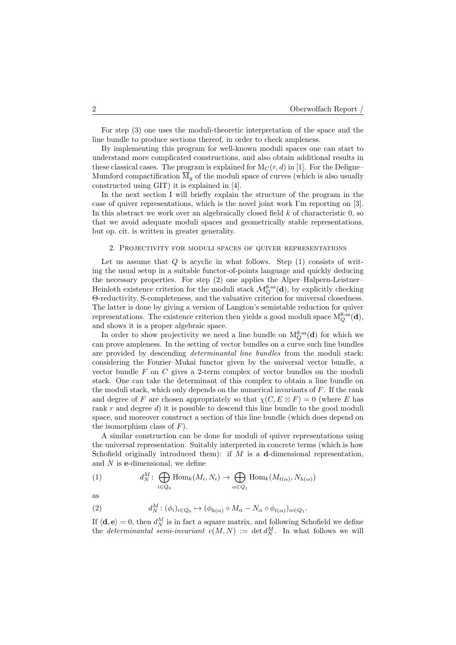For step (3) one uses the moduli-theoretic interpretation of the space and the line bundle to produce sections thereof, in order to check ampleness.

By implementing this program for well-known moduli spaces one can start to understand more complicated constructions, and also obtain additional results in these classical cases. The program is explained for  $M_C(r, d)$  in [1]. For the Deligne– Mumford compactification  $\overline{M}_q$  of the moduli space of curves (which is also usually constructed using GIT) it is explained in [4].

In the next section I will briefly explain the structure of the program in the case of quiver representations, which is the novel joint work I'm reporting on [3]. In this abstract we work over an algebraically closed field  $k$  of characteristic  $0$ , so that we avoid adequate moduli spaces and geometrically stable representations, but op. cit. is written in greater generality.

## 2. Projectivity for moduli spaces of quiver representations

Let us assume that  $Q$  is acyclic in what follows. Step  $(1)$  consists of writing the usual setup in a suitable functor-of-points language and quickly deducing the necessary properties. For step (2) one applies the Alper–Halpern-Leistner– Heinloth existence criterion for the moduli stack  $\mathcal{M}_Q^{\theta\text{-ss}}(\mathbf{d})$ , by explicitly checking Θ-reductivity, S-completeness, and the valuative criterion for universal closedness. The latter is done by giving a version of Langton's semistable reduction for quiver representations. The existence criterion then yields a good moduli space  $M_Q^{\theta\text{-ss}}(\mathbf{d})$ , and shows it is a proper algebraic space.

In order to show projectivity we need a line bundle on  $M_Q^{\theta\text{-ss}}(\mathbf{d})$  for which we can prove ampleness. In the setting of vector bundles on a curve such line bundles are provided by descending determinantal line bundles from the moduli stack: considering the Fourier–Mukai functor given by the universal vector bundle, a vector bundle  $F$  on  $C$  gives a 2-term complex of vector bundles on the moduli stack. One can take the determinant of this complex to obtain a line bundle on the moduli stack, which only depends on the numerical invariants of  $F$ . If the rank and degree of F are chosen appropriately so that  $\chi(C, E \otimes F) = 0$  (where E has rank r and degree d) it is possible to descend this line bundle to the good moduli space, and moreover construct a section of this line bundle (which does depend on the isomorphism class of  $F$ ).

A similar construction can be done for moduli of quiver representations using the universal representation. Suitably interpreted in concrete terms (which is how Schofield originally introduced them): if  $M$  is a d-dimensional representation, and  $N$  is e-dimensional, we define

(1) 
$$
d_N^M: \bigoplus_{i \in Q_0} \text{Hom}_k(M_i, N_i) \to \bigoplus_{\alpha \in Q_1} \text{Hom}_k(M_{t(\alpha)}, N_{h(\alpha)})
$$

as

(2) 
$$
d_N^M: (\phi_i)_{i \in Q_0} \mapsto (\phi_{h(\alpha)} \circ M_\alpha - N_\alpha \circ \phi_{t(\alpha)})_{\alpha \in Q_1}.
$$

If  $\langle \mathbf{d}, \mathbf{e} \rangle = 0$ , then  $d_N^M$  is in fact a square matrix, and following Schofield we define the *determinantal semi-invariant*  $c(M, N) := \det d_N^M$ . In what follows we will